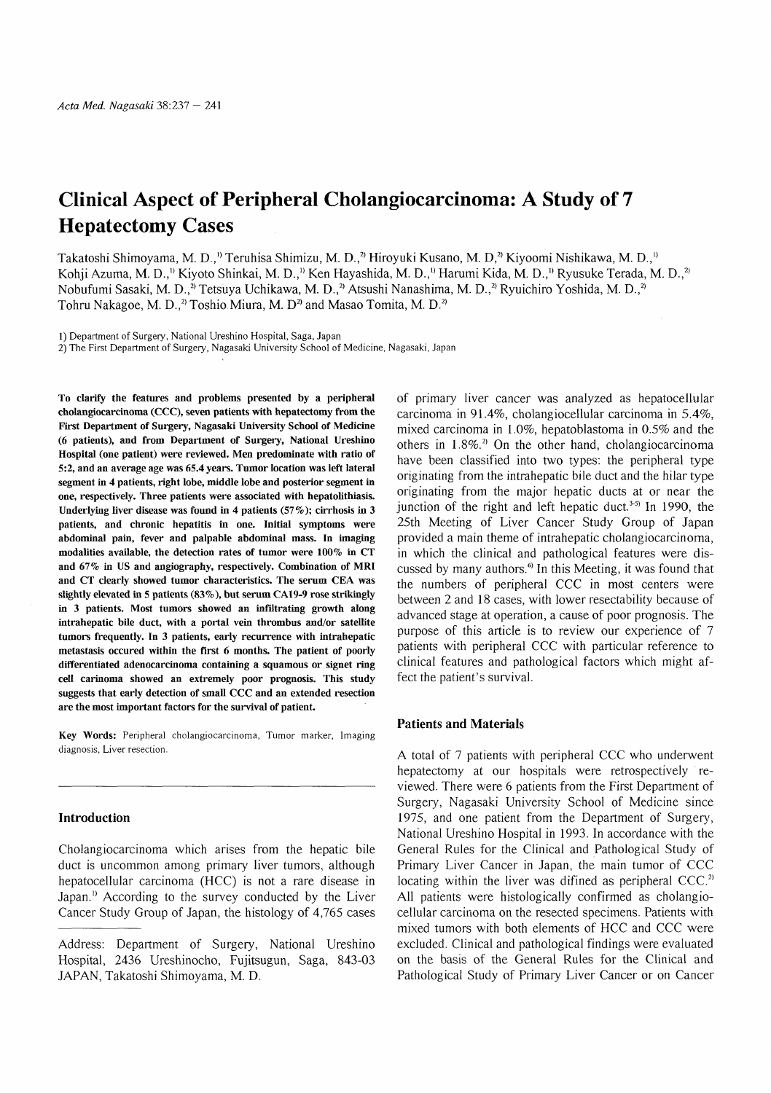# Clinical Aspect of Peripheral Cholangiocarcinoma: A Study of 7 Hepatectomy Cases

Takatoshi Shimoyama, M. D.,<sup>1)</sup> Teruhisa Shimizu, M. D.,<sup>2</sup>) Hiroyuki Kusano, M. D,<sup>2</sup>) Kiyoomi Nishikawa, M. D.,<sup>1)</sup> Kohii Azuma, M. D.,<sup>1)</sup> Kiyoto Shinkai, M. D.,<sup>1)</sup> Ken Hayashida, M. D.,<sup>1)</sup> Harumi Kida, M. D.,<sup>1)</sup> Ryusuke Terada, M. D.,<sup>2</sup> Nobufumi Sasaki, M. D.,<sup>2)</sup> Tetsuya Uchikawa, M. D.,<sup>2)</sup> Atsushi Nanashima, M. D.,<sup>2)</sup> Ryuichiro Yoshida, M. D.,<sup>2</sup> Tohru Nakagoe, M. D., $^{2}$  Toshio Miura, M. D<sup>2</sup> and Masao Tomita, M. D.<sup>2</sup>

1) Department of Surgery, National Ureshino Hospital, Saga, Japan

2) The First Department of Surgery, Nagasaki University School of Medicine, Nagasaki, Japan

To clarify the features and problems presented by a peripheral cholangiocarcinoma (CCC), seven patients with hepatectomy from the First Department of Surgery, Nagasaki University School of Medicine (6 patients), and from Department of Surgery, National Ureshino Hospital (one patient) were reviewed. Men predominate with ratio of 5:2, and an average age was 65.4 years. Tumor location was left lateral segment in 4 patients, right lobe, middle lobe and posterior segment in one, respectively. Three patients were associated with hepatolithiasis. Underlying liver disease was found in 4 patients (57%); cirrhosis in 3 patients, and chronic hepatitis in one. Initial symptoms were abdominal pain, fever and palpable abdominal mass. In imaging modalities available, the detection rates of tumor were 100% in CT and 67% in US and angiography, respectively. Combination of MRI and CT clearly showed tumor characteristics. The serum CEA was slightly elevated in 5 patients (83%), but serum CA19-9 rose strikingly in 3 patients. Most tumors showed an infiltrating growth along intrahepatic bile duct, with a portal vein thrombus and/or satellite tumors frequently. In 3 patients, early recurrence with intrahepatic metastasis occured within the first 6 months. The patient of poorly differentiated adenocarcinoma containing a squamous or signet ring cell carinoma showed an extremely poor prognosis. This study suggests that early detection of small CCC and an extended resection are the most important factors for the survival of patient.

Key Words: Peripheral cholangiocarcinoma, Tumor marker, Imaging diagnosis, Liver resection.

#### Introduction

Cholangiocarcinoma which arises from the hepatic bile duct is uncommon among primary liver tumors, although hepatocellular carcinoma (HCC) is not a rare disease in Japan." According to the survey conducted by the Liver Cancer Study Group of Japan, the histology of 4,765 cases

Address: Department of Surgery, National Ureshino Hospital, 2436 Ureshinocho, Fujitsugun, Saga, 843-03 JAPAN, Takatoshi Shimoyama, M. D.

of primary liver cancer was analyzed as hepatocellular carcinoma in 91.4%, cholangiocellular carcinoma in 5.4%, mixed carcinoma in 1.0%, hepatoblastoma in 0.5% and the others in  $1.8\%$ <sup>2</sup> On the other hand, cholangiocarcinoma have been classified into two types: the peripheral type originating from the intrahepatic bile duct and the hilar type originating from the major hepatic ducts at or near the junction of the right and left hepatic duct.<sup> $3-5$ </sup> In 1990, the 25th Meeting of Liver Cancer Study Group of Japan provided a main theme of intrahepatic cholangiocarcinoma, in which the clinical and pathological features were discussed by many authors.<sup>6</sup> In this Meeting, it was found that the numbers of peripheral CCC in most centers were between 2 and 18 cases, with lower resectability because of advanced stage at operation, a cause of poor prognosis. The purpose of this article is to review our experience of 7 patients with peripheral CCC with particular reference to clinical features and pathological factors which might affect the patient's survival.

#### Patients and Materials

A total of 7 patients with peripheral CCC who underwent hepatectomy at our hospitals were retrospectively reviewed. There were 6 patients from the First Department of Surgery, Nagasaki University School of Medicine since 1975, and one patient from the Department of Surgery, National Ureshino Hospital in 1993. In accordance with the General Rules for the Clinical and Pathological Study of Primary Liver Cancer in Japan, the main tumor of CCC locating within the liver was difined as peripheral  $CCC.^2$ All patients were histologically confirmed as cholangiocellular carcinoma on the resected specimens. Patients with mixed tumors with both elements of HCC and CCC were excluded. Clinical and pathological findings were evaluated on the basis of the General Rules for the Clinical and Pathological Study of Primary Liver Cancer or on Cancer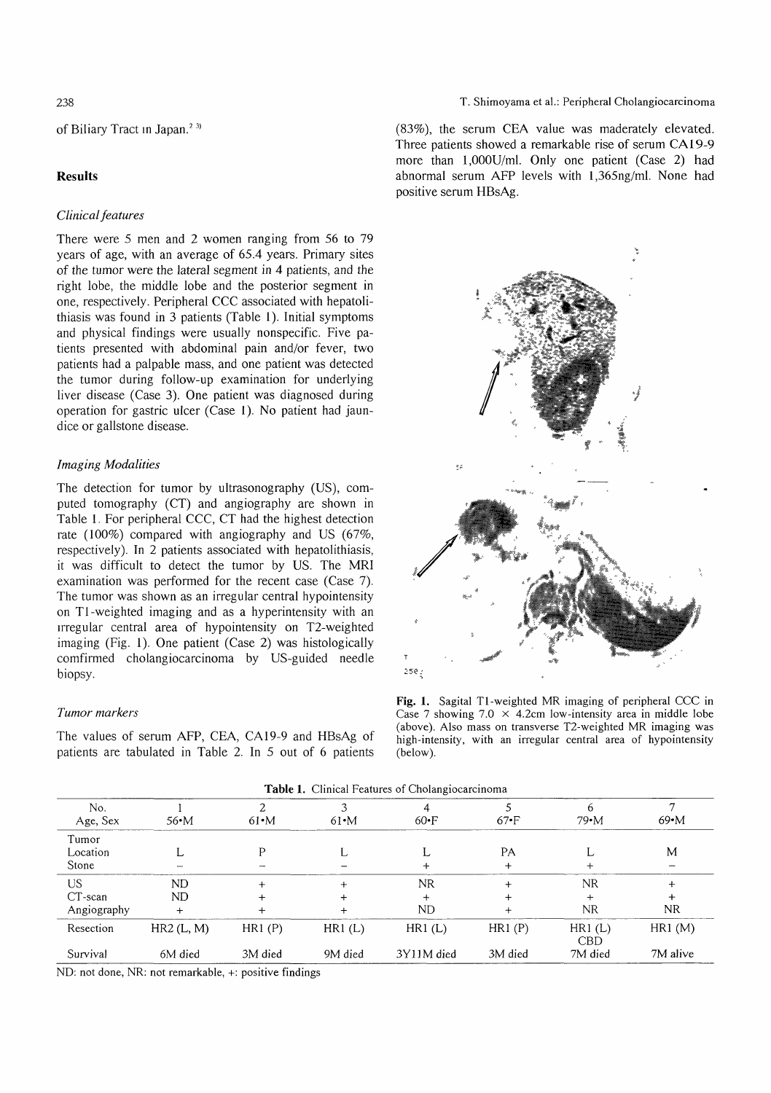## of Biliary Tract in Japan.<sup>23)</sup>

## **Results**

### Clinical features

There were 5 men and 2 women ranging from 56 to 79 years of age, with an average of 65.4 years. Primary sites of the tumor were the lateral segment in 4 patients, and the right lobe, the middle lobe and the posterior segment in one, respectively. Peripheral CCC associated with hepatolithiasis was found in 3 patients (Table 1). Initial symptoms and physical findings were usually nonspecific. Five patients presented with abdominal pain and/or fever, two patients had a palpable mass, and one patient was detected the tumor during follow-up examination for underlying liver disease (Case 3). One patient was diagnosed during operation for gastric ulcer (Case 1). No patient had jaundice or gallstone disease.

## Imaging Modalities

The detection for tumor by ultrasonography (US), computed tomography (CT) and angiography are shown in Table 1. For peripheral CCC, CT had the highest detection rate (100%) compared with angiography and US (67%, respectively). In 2 patients associated with hepatolithiasis, it was difficult to detect the tumor by US. The MRI examination was performed for the recent case (Case 7). The tumor was shown as an irregular central hypointensity on T1-weighted imaging and as a hyperintensity with an irregular central area of hypointensity on T2-weighted imaging (Fig. 1). One patient (Case 2) was histologically comfirmed cholangiocarcinoma by US-guided needle biopsy.

### Tumor markers

The values of serum AFP, CEA, CA19-9 and HBsAg of patients are tabulated in Table 2. In 5 out of 6 patients T. Shimoyama et al.: Peripheral Cholangiocarcinoma

(83%), the serum CEA value was maderately elevated. Three patients showed a remarkable rise of serum CA19-9 more than 1,000U/mI. Only one patient (Case 2) had abnormal serum AFP levels with 1,365ng/ml. None had positive serum HBsAg.



Fig. 1. Sagital Ti-weighted MR imaging of peripheral CCC in Case 7 showing 7.0  $\times$  4.2cm low-intensity area in middle lobe (above). Also mass on transverse T2-weighted MR imaging was high-intensity, with an irregular central area of hypointensity (below).

| No.<br>Age, Sex                  | $56 \cdot M$         | $61 \cdot M$      | $61 \cdot M$               | $60 \cdot F$                  | $67 \cdot F$      | h<br>$79 \cdot M$                   | $69 \cdot M$       |
|----------------------------------|----------------------|-------------------|----------------------------|-------------------------------|-------------------|-------------------------------------|--------------------|
| Tumor<br>Location<br>Stone       |                      | D                 | ι.                         |                               | PA<br>+           |                                     | M                  |
| US.<br>$CT$ -scan<br>Angiography | ND<br>ND<br>$+$      | ┿                 | $+$<br>$^{+}$<br>$\ddot{}$ | NR.<br>$\ddot{}$<br><b>ND</b> |                   | <b>NR</b><br>$\ddot{}$<br><b>NR</b> | +<br>NR.           |
| Resection<br>Survival            | HR2(L, M)<br>6M died | HR1(P)<br>3M died | HR1(L)<br>9M died          | HR1(L)<br>3Y11M died          | HR1(P)<br>3M died | HR1(L)<br><b>CBD</b><br>7M died     | HR1(M)<br>7M alive |

Table 1. Clinical Features of Cholangiocarcinoma

ND: not done, NR: not remarkable, +: positive findings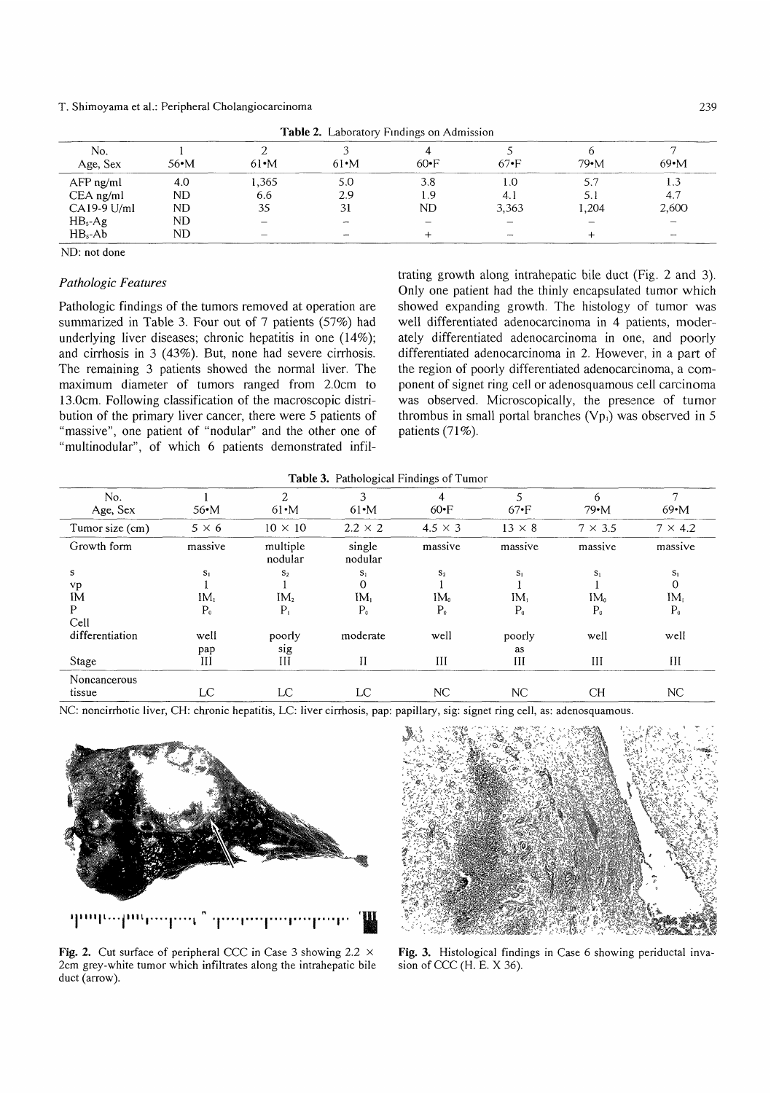#### T. Shimoyama et al.: Peripheral Cholangiocarcinoma

| <b>THOME 2.</b> Laboratory Findings on Admission |                 |                    |                  |                   |               |                      |                          |  |
|--------------------------------------------------|-----------------|--------------------|------------------|-------------------|---------------|----------------------|--------------------------|--|
| No.<br>Age, Sex                                  | $56 \cdot M$    | $61 \cdot M$       | $61 \cdot M$     | $60 \cdot F$      | $67 \cdot F$  | $79 \cdot M$         | $69 \cdot M$             |  |
| $AFP$ ng/ml<br>$CEA$ ng/ml<br>$CA19-9$ U/ml      | 4.0<br>ND<br>ND | 1,365<br>6.6<br>35 | 5.0<br>2.9<br>31 | 3.8<br>l .9<br>ND | 4. 1<br>3.363 | 5.7<br>5. I<br>1.204 | 4.7<br>2,600             |  |
| $HB_s$ -Ag<br>$HBs$ -Ab                          | ND<br>ND        | -                  |                  |                   | $\sim$        |                      | $\overline{\phantom{a}}$ |  |

**Table 2.** Laboratory Findings on Admissi

ND: not done

#### Pathologic Features

Pathologic findings of the tumors removed at operation are summarized in Table 3. Four out of 7 patients (57%) had underlying liver diseases; chronic hepatitis in one (14%); and cirrhosis in 3 (43%). But, none had severe cirrhosis. The remaining 3 patients showed the normal liver. The maximum diameter of tumors ranged from 2.0cm to 13.0cm. Following classification of the macroscopic distribution of the primary liver cancer, there were 5 patients of "massive" , one patient of "nodular" and the other one of "multinodular" "multinodular", of which 6 patients demonstrated infiltrating growth along intrahepatic bile duct (Fig. 2 and 3). Only one patient had the thinly encapsulated tumor which showed expanding growth. The histology of tumor was well differentiated adenocarcinoma in 4 patients, moderately differentiated adenocarcinoma in one, and poorly differentiated adenocarcinoma in 2. However, in a part of the region of poorly differentiated adenocarcinoma, a component of signet ring cell or adenosquamous cell carcinoma was observed. Microscopically, the presence of tumor thrombus in small portal branches  $(Vp_1)$  was observed in 5 patients  $(71\%)$ .

| <b>ratio</b> : ratifological riflumgs of Fullion |                 |                     |                   |                |                   |                   |                   |  |  |
|--------------------------------------------------|-----------------|---------------------|-------------------|----------------|-------------------|-------------------|-------------------|--|--|
| No.<br>Age, Sex                                  | 56•M            | 2<br>$61 \cdot M$   | $61 \cdot M$      | $60 \cdot F$   | 5<br>$67 \cdot F$ | 6<br>$79 \cdot M$ | 7<br>$69 \cdot M$ |  |  |
| Tumor size (cm)                                  | $5 \times 6$    | $10 \times 10$      | $2.2 \times 2$    | $4.5 \times 3$ | $13 \times 8$     | $7 \times 3.5$    | $7 \times 4.2$    |  |  |
| Growth form                                      | massive         | multiple<br>nodular | single<br>nodular | massive        | massive           | massive           | massive           |  |  |
| s                                                | $S_1$           | $S_2$               | $S_1$             | $S_2$          | $S_1$             | $S_1$             | $S_1$             |  |  |
| vp                                               |                 |                     | $\mathbf 0$       |                |                   |                   | $\mathbf{0}$      |  |  |
| ÍМ                                               | IM <sub>1</sub> | IM <sub>2</sub>     | IM <sub>1</sub>   | $IM_0$         | $IM_t$            | IM <sub>0</sub>   | IM <sub>t</sub>   |  |  |
| P                                                | P <sub>0</sub>  | $P_{i}$             | P <sub>o</sub>    | P <sub>o</sub> | $P_0$             | P <sub>o</sub>    | P <sub>o</sub>    |  |  |
| Cell                                             |                 |                     |                   |                |                   |                   |                   |  |  |
| differentiation                                  | well            | poorly              | moderate          | well           | poorly            | well              | well              |  |  |
|                                                  | pap             | sig                 |                   |                | as                |                   |                   |  |  |
| Stage                                            | Ш               | III                 | $_{\rm II}$       | III            | III               | III               | Ш                 |  |  |
| Noncancerous                                     |                 |                     |                   |                |                   |                   |                   |  |  |
| tissue                                           | LC              | LC                  | LC                | NC             | NC                | CН                | <b>NC</b>         |  |  |

Table 3. Pathological Findings of Tumor

NC: noncirrhotic liver, CH: chronic hepatitis, LC: liver cirrhosis, pap: papillary, sig: signet ring cell, as: adenosquamous.



Fig. 2. Cut surface of peripheral CCC in Case 3 showing 2.2  $\times$ 2cm grey-white tumor which infiltrates along the intrahepatic bile duct (arrow).

Fig. 3. Histological findings in Case 6 showing periductal invasion of CCC (H. E. X 36).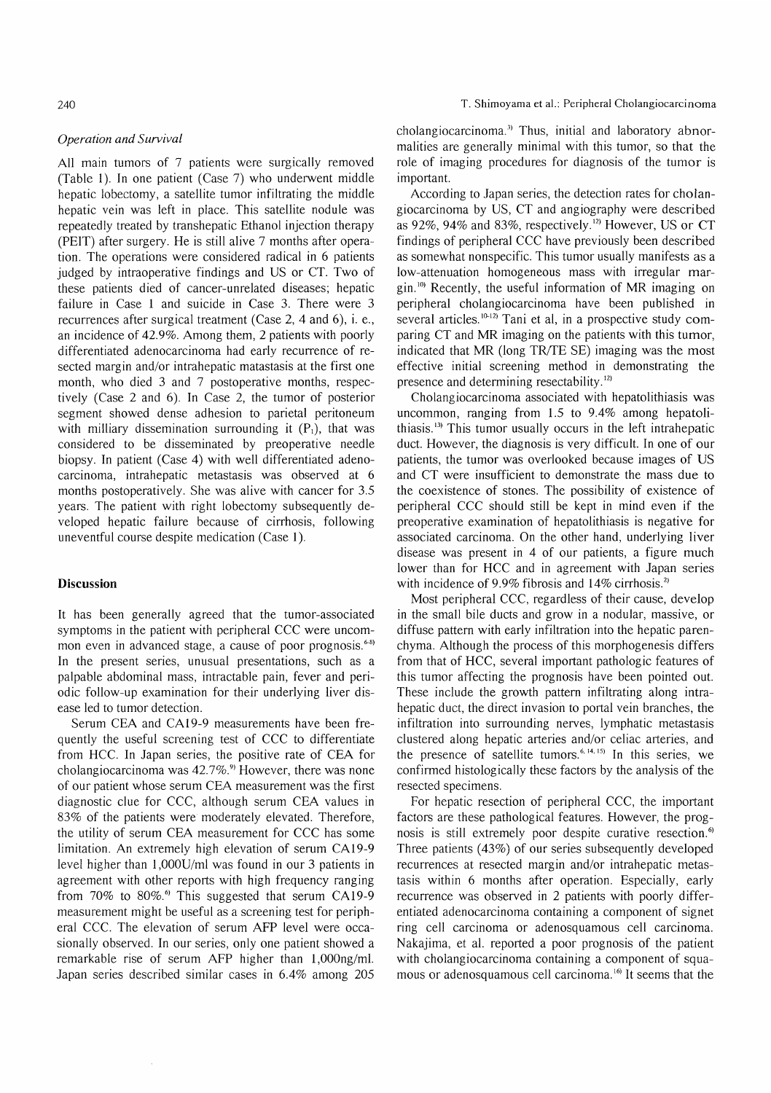240

All main tumors of 7 patients were surgically removed (Table 1). In one patient (Case 7) who underwent middle hepatic lobectomy, a satellite tumor infiltrating the middle hepatic vein was left in place. This satellite nodule was repeatedly treated by transhepatic Ethanol injection therapy (PEIT) after surgery. He is still alive 7 months after operation. The operations were considered radical in 6 patients judged by intraoperative findings and US or CT. Two of these patients died of cancer-unrelated diseases; hepatic failure in Case 1 and suicide in Case 3. There were 3 recurrences after surgical treatment (Case 2, 4 and 6), i. e., an incidence of 42.9%. Among them, 2 patients with poorly differentiated adenocarcinoma had early recurrence of resected margin and/or intrahepatic matastasis at the first one month, who died 3 and 7 postoperative months, respectively (Case 2 and 6). In Case 2, the tumor of posterior segment showed dense adhesion to parietal peritoneum with milliary dissemination surrounding it  $(P_1)$ , that was considered to be disseminated by preoperative needle biopsy. In patient (Case 4) with well differentiated adenocarcinoma, intrahepatic metastasis was observed at 6 months postoperatively. She was alive with cancer for 3.5 years. The patient with right lobectomy subsequently developed hepatic failure because of cirrhosis, following uneventful course despite medication (Case 1).

## Discussion

It has been generally agreed that the tumor-associated symptoms in the patient with peripheral CCC were uncommon even in advanced stage, a cause of poor prognosis.<sup>6-8)</sup> In the present series, unusual presentations, such as a palpable abdominal mass, intractable pain, fever and periodic follow-up examination for their underlying liver disease led to tumor detection.

Serum CEA and CA19-9 measurements have been frequently the useful screening test of CCC to differentiate from HCC. In Japan series, the positive rate of CEA for cholangiocarcinoma was  $42.7\%$ <sup>9</sup> However, there was none of our patient whose serum CEA measurement was the first diagnostic clue for CCC, although serum CEA values in 83% of the patients were moderately elevated. Therefore, the utility of serum CEA measurement for CCC has some limitation. An extremely high elevation of serum CA19-9 level higher than 1,000U/ml was found in our 3 patients in agreement with other reports with high frequency ranging from  $70\%$  to  $80\%$ .<sup>6</sup> This suggested that serum CA19-9 measurement might be useful as a screening test for peripheral CCC. The elevation of serum AFP level were occasionally observed. In our series, only one patient showed a remarkable rise of serum AFP higher than 1,000ng/ml. Japan series described similar cases in 6.4% among 205 cholangiocarcinoma.3) Thus, initial and laboratory abnormalities are generally minimal with this tumor, so that the role of imaging procedures for diagnosis of the tumor is important.

According to Japan series, the detection rates for cholangiocarcinoma by US, CT and angiography were described as 92%, 94% and 83%, respectively.<sup>12)</sup> However, US or CT findings of peripheral CCC have previously been described as somewhat nonspecific. This tumor usually manifests as a low-attenuation homogeneous mass with irregular mar- $\sin^{10}$  Recently, the useful information of MR imaging on peripheral cholangiocarcinoma have been published in several articles.  $10-12$ <sup>2</sup> Tani et al, in a prospective study comparing CT and MR imaging on the patients with this tumor, indicated that MR (long TR/TE SE) imaging was the most effective initial screening method in demonstrating the presence and determining resectability.<sup>12)</sup>

Cholangiocarcinoma associated with hepatolithiasis was uncommon, ranging from 1.5 to 9.4% among hepatolithiasis.13' This tumor usually occurs in the left intrahepatic duct. However, the diagnosis is very difficult. In one of our patients, the tumor was overlooked because images of US and CT were insufficient to demonstrate the mass due to the coexistence of stones. The possibility of existence of peripheral CCC should still be kept in mind even if the preoperative examination of hepatolithiasis is negative for associated carcinoma. On the other hand, underlying liver disease was present in 4 of our patients, a figure much lower than for HCC and in agreement with Japan series with incidence of 9.9% fibrosis and 14% cirrhosis.<sup>2)</sup>

Most peripheral CCC, regardless of their cause, develop in the small bile ducts and grow in a nodular, massive, or diffuse pattern with early infiltration into the hepatic parenchyma. Although the process of this morphogenesis differs from that of HCC, several important pathologic features of this tumor affecting the prognosis have been pointed out. These include the growth pattern infiltrating along intrahepatic duct, the direct invasion to portal vein branches, the infiltration into surrounding nerves, lymphatic metastasis clustered along hepatic arteries and/or celiac arteries, and the presence of satellite tumors.<sup> $6, 14, 15$ </sup> In this series, we confirmed histologically these factors by the analysis of the resected specimens.

For hepatic resection of peripheral CCC, the important factors are these pathological features. However, the prognosis is still extremely poor despite curative resection.<sup>6)</sup> Three patients (43%) of our series subsequently developed recurrences at resected margin and/or intrahepatic metastasis within 6 months after operation. Especially, early recurrence was observed in 2 patients with poorly differentiated adenocarcinoma containing a component of signet ring cell carcinoma or adenosquamous cell carcinoma. Nakajima, et al. reported a poor prognosis of the patient with cholangiocarcinoma containing a component of squamous or adenosquamous cell carcinoma. 16) It seems that the